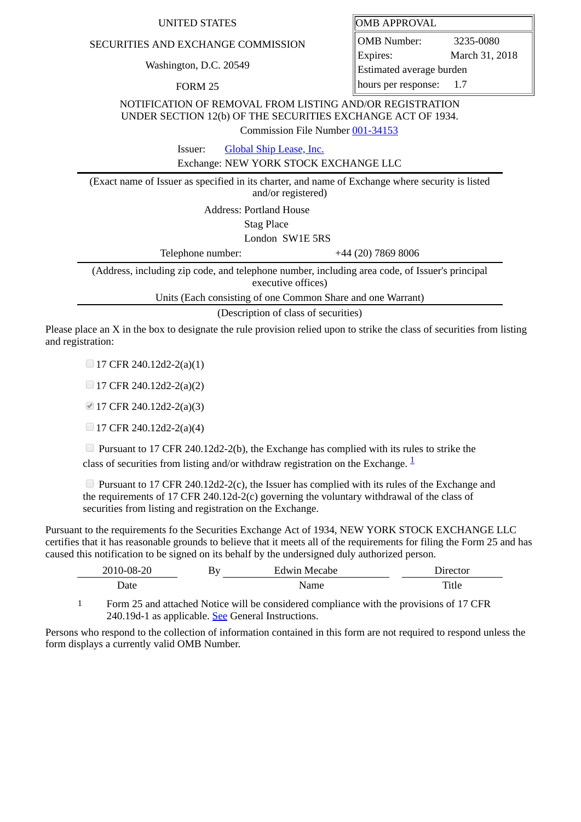## UNITED STATES **OMB** APPROVAL

## SECURITIES AND EXCHANGE COMMISSION

Washington, D.C. 20549

FORM 25

OMB Number: 3235-0080 Expires: March 31, 2018 Estimated average burden hours per response: 1.7

NOTIFICATION OF REMOVAL FROM LISTING AND/OR REGISTRATION UNDER SECTION 12(b) OF THE SECURITIES EXCHANGE ACT OF 1934.

Commission File Number [001-34153](file:///cgi-bin/browse-edgar?action=getcompany&filenum=001-34153)

Issuer: [Global Ship Lease, Inc.](http://www.sec.gov/cgi-bin/browse-edgar?action=getcompany&CIK=1430725)

Exchange: NEW YORK STOCK EXCHANGE LLC

(Exact name of Issuer as specified in its charter, and name of Exchange where security is listed and/or registered)

Address: Portland House

Stag Place

London SW1E 5RS

Telephone number:  $+44 (20) 7869 8006$ 

(Address, including zip code, and telephone number, including area code, of Issuer's principal executive offices)

Units (Each consisting of one Common Share and one Warrant)

(Description of class of securities)

Please place an X in the box to designate the rule provision relied upon to strike the class of securities from listing and registration:

 $\Box$  17 CFR 240.12d2-2(a)(1)

 $\Box$  17 CFR 240.12d2-2(a)(2)

■ 17 CFR 240.12d2-2(a)(3)

 $\Box$  17 CFR 240.12d2-2(a)(4)

Pursuant to 17 CFR 240.12d2-2(b), the Exchange has complied with its rules to strike the class of securities from listing and/or withdraw registration on the Exchange.  $\frac{1}{2}$  $\frac{1}{2}$  $\frac{1}{2}$ 

**Pursuant to 17 CFR 240.12d2-2(c), the Issuer has complied with its rules of the Exchange and** the requirements of 17 CFR 240.12d-2(c) governing the voluntary withdrawal of the class of securities from listing and registration on the Exchange.

Pursuant to the requirements fo the Securities Exchange Act of 1934, NEW YORK STOCK EXCHANGE LLC certifies that it has reasonable grounds to believe that it meets all of the requirements for filing the Form 25 and has caused this notification to be signed on its behalf by the undersigned duly authorized person.

| 2010-08-20 | By | <b>Edwin Mecabe</b> | Director |
|------------|----|---------------------|----------|
| Date       |    | Name                | Title    |
|            |    |                     |          |

<span id="page-0-0"></span>1 Form 25 and attached Notice will be considered compliance with the provisions of 17 CFR 240.19d-1 as applicable. See General Instructions.

Persons who respond to the collection of information contained in this form are not required to respond unless the form displays a currently valid OMB Number.